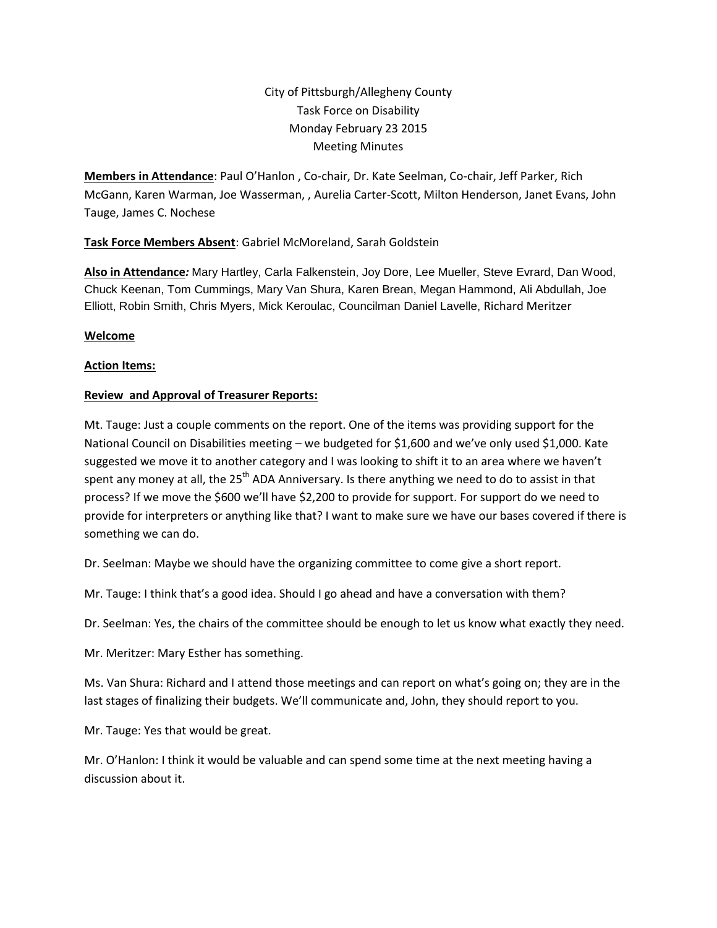# City of Pittsburgh/Allegheny County Task Force on Disability Monday February 23 2015 Meeting Minutes

**Members in Attendance**: Paul O'Hanlon , Co-chair, Dr. Kate Seelman, Co-chair, Jeff Parker, Rich McGann, Karen Warman, Joe Wasserman, , Aurelia Carter-Scott, Milton Henderson, Janet Evans, John Tauge, James C. Nochese

# **Task Force Members Absent**: Gabriel McMoreland, Sarah Goldstein

**Also in Attendance***:* Mary Hartley, Carla Falkenstein, Joy Dore, Lee Mueller, Steve Evrard, Dan Wood, Chuck Keenan, Tom Cummings, Mary Van Shura, Karen Brean, Megan Hammond, Ali Abdullah, Joe Elliott, Robin Smith, Chris Myers, Mick Keroulac, Councilman Daniel Lavelle, Richard Meritzer

# **Welcome**

### **Action Items:**

# **Review and Approval of Treasurer Reports:**

Mt. Tauge: Just a couple comments on the report. One of the items was providing support for the National Council on Disabilities meeting – we budgeted for \$1,600 and we've only used \$1,000. Kate suggested we move it to another category and I was looking to shift it to an area where we haven't spent any money at all, the 25<sup>th</sup> ADA Anniversary. Is there anything we need to do to assist in that process? If we move the \$600 we'll have \$2,200 to provide for support. For support do we need to provide for interpreters or anything like that? I want to make sure we have our bases covered if there is something we can do.

Dr. Seelman: Maybe we should have the organizing committee to come give a short report.

Mr. Tauge: I think that's a good idea. Should I go ahead and have a conversation with them?

Dr. Seelman: Yes, the chairs of the committee should be enough to let us know what exactly they need.

Mr. Meritzer: Mary Esther has something.

Ms. Van Shura: Richard and I attend those meetings and can report on what's going on; they are in the last stages of finalizing their budgets. We'll communicate and, John, they should report to you.

Mr. Tauge: Yes that would be great.

Mr. O'Hanlon: I think it would be valuable and can spend some time at the next meeting having a discussion about it.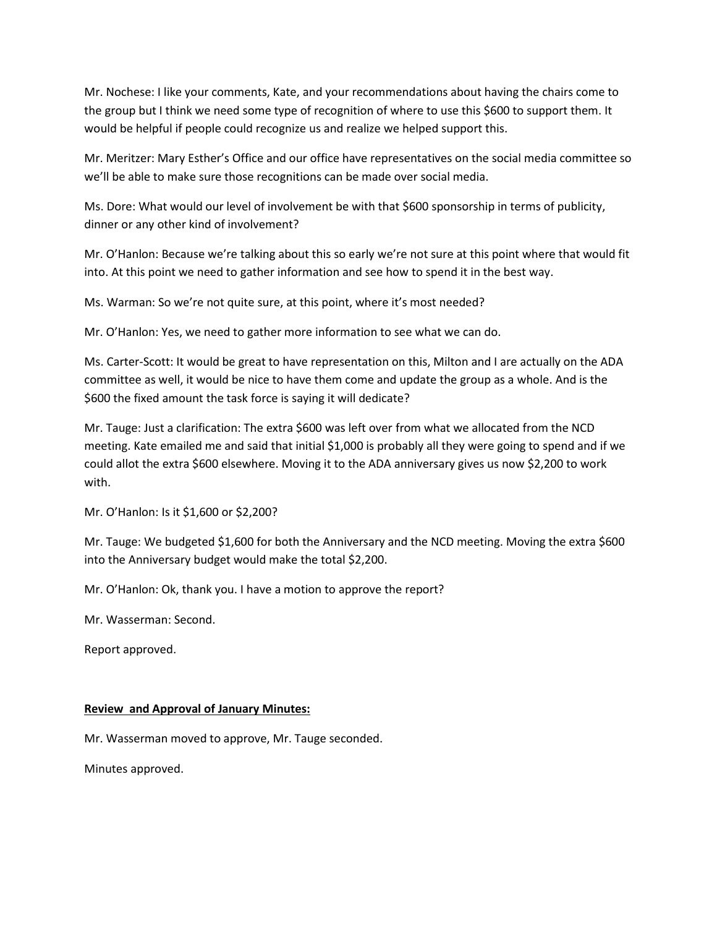Mr. Nochese: I like your comments, Kate, and your recommendations about having the chairs come to the group but I think we need some type of recognition of where to use this \$600 to support them. It would be helpful if people could recognize us and realize we helped support this.

Mr. Meritzer: Mary Esther's Office and our office have representatives on the social media committee so we'll be able to make sure those recognitions can be made over social media.

Ms. Dore: What would our level of involvement be with that \$600 sponsorship in terms of publicity, dinner or any other kind of involvement?

Mr. O'Hanlon: Because we're talking about this so early we're not sure at this point where that would fit into. At this point we need to gather information and see how to spend it in the best way.

Ms. Warman: So we're not quite sure, at this point, where it's most needed?

Mr. O'Hanlon: Yes, we need to gather more information to see what we can do.

Ms. Carter-Scott: It would be great to have representation on this, Milton and I are actually on the ADA committee as well, it would be nice to have them come and update the group as a whole. And is the \$600 the fixed amount the task force is saying it will dedicate?

Mr. Tauge: Just a clarification: The extra \$600 was left over from what we allocated from the NCD meeting. Kate emailed me and said that initial \$1,000 is probably all they were going to spend and if we could allot the extra \$600 elsewhere. Moving it to the ADA anniversary gives us now \$2,200 to work with.

Mr. O'Hanlon: Is it \$1,600 or \$2,200?

Mr. Tauge: We budgeted \$1,600 for both the Anniversary and the NCD meeting. Moving the extra \$600 into the Anniversary budget would make the total \$2,200.

Mr. O'Hanlon: Ok, thank you. I have a motion to approve the report?

Mr. Wasserman: Second.

Report approved.

#### **Review and Approval of January Minutes:**

Mr. Wasserman moved to approve, Mr. Tauge seconded.

Minutes approved.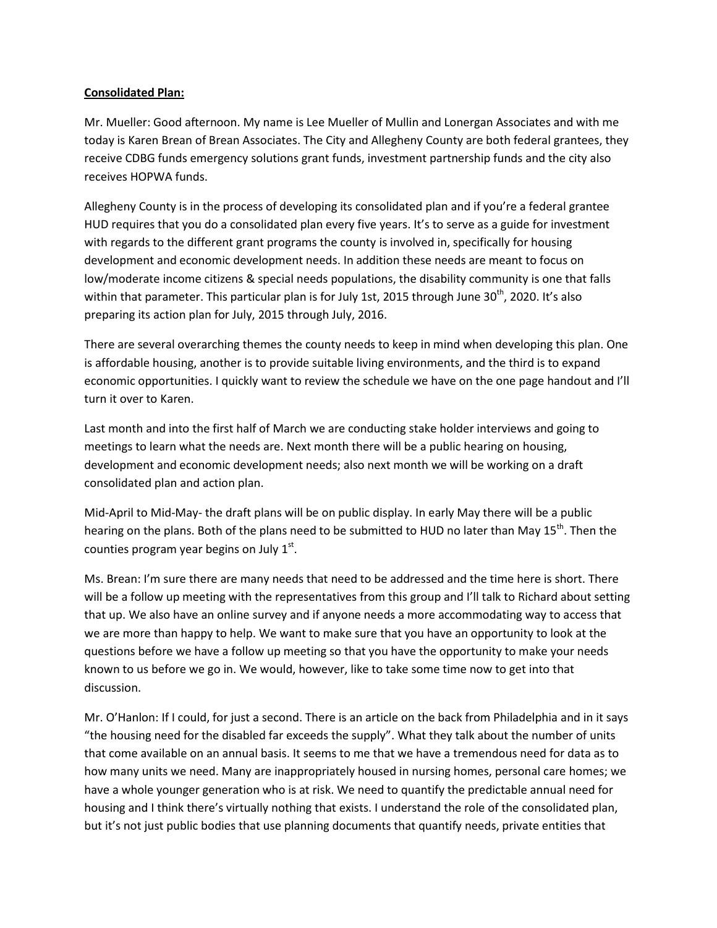#### **Consolidated Plan:**

Mr. Mueller: Good afternoon. My name is Lee Mueller of Mullin and Lonergan Associates and with me today is Karen Brean of Brean Associates. The City and Allegheny County are both federal grantees, they receive CDBG funds emergency solutions grant funds, investment partnership funds and the city also receives HOPWA funds.

Allegheny County is in the process of developing its consolidated plan and if you're a federal grantee HUD requires that you do a consolidated plan every five years. It's to serve as a guide for investment with regards to the different grant programs the county is involved in, specifically for housing development and economic development needs. In addition these needs are meant to focus on low/moderate income citizens & special needs populations, the disability community is one that falls within that parameter. This particular plan is for July 1st, 2015 through June  $30<sup>th</sup>$ , 2020. It's also preparing its action plan for July, 2015 through July, 2016.

There are several overarching themes the county needs to keep in mind when developing this plan. One is affordable housing, another is to provide suitable living environments, and the third is to expand economic opportunities. I quickly want to review the schedule we have on the one page handout and I'll turn it over to Karen.

Last month and into the first half of March we are conducting stake holder interviews and going to meetings to learn what the needs are. Next month there will be a public hearing on housing, development and economic development needs; also next month we will be working on a draft consolidated plan and action plan.

Mid-April to Mid-May- the draft plans will be on public display. In early May there will be a public hearing on the plans. Both of the plans need to be submitted to HUD no later than May 15<sup>th</sup>. Then the counties program year begins on July  $1<sup>st</sup>$ .

Ms. Brean: I'm sure there are many needs that need to be addressed and the time here is short. There will be a follow up meeting with the representatives from this group and I'll talk to Richard about setting that up. We also have an online survey and if anyone needs a more accommodating way to access that we are more than happy to help. We want to make sure that you have an opportunity to look at the questions before we have a follow up meeting so that you have the opportunity to make your needs known to us before we go in. We would, however, like to take some time now to get into that discussion.

Mr. O'Hanlon: If I could, for just a second. There is an article on the back from Philadelphia and in it says "the housing need for the disabled far exceeds the supply". What they talk about the number of units that come available on an annual basis. It seems to me that we have a tremendous need for data as to how many units we need. Many are inappropriately housed in nursing homes, personal care homes; we have a whole younger generation who is at risk. We need to quantify the predictable annual need for housing and I think there's virtually nothing that exists. I understand the role of the consolidated plan, but it's not just public bodies that use planning documents that quantify needs, private entities that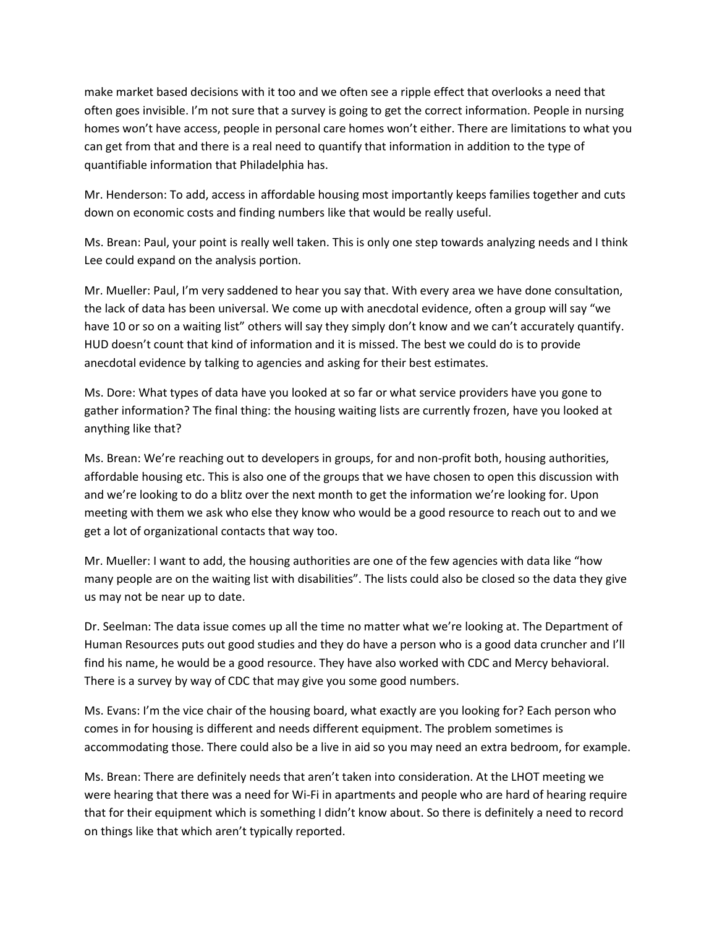make market based decisions with it too and we often see a ripple effect that overlooks a need that often goes invisible. I'm not sure that a survey is going to get the correct information. People in nursing homes won't have access, people in personal care homes won't either. There are limitations to what you can get from that and there is a real need to quantify that information in addition to the type of quantifiable information that Philadelphia has.

Mr. Henderson: To add, access in affordable housing most importantly keeps families together and cuts down on economic costs and finding numbers like that would be really useful.

Ms. Brean: Paul, your point is really well taken. This is only one step towards analyzing needs and I think Lee could expand on the analysis portion.

Mr. Mueller: Paul, I'm very saddened to hear you say that. With every area we have done consultation, the lack of data has been universal. We come up with anecdotal evidence, often a group will say "we have 10 or so on a waiting list" others will say they simply don't know and we can't accurately quantify. HUD doesn't count that kind of information and it is missed. The best we could do is to provide anecdotal evidence by talking to agencies and asking for their best estimates.

Ms. Dore: What types of data have you looked at so far or what service providers have you gone to gather information? The final thing: the housing waiting lists are currently frozen, have you looked at anything like that?

Ms. Brean: We're reaching out to developers in groups, for and non-profit both, housing authorities, affordable housing etc. This is also one of the groups that we have chosen to open this discussion with and we're looking to do a blitz over the next month to get the information we're looking for. Upon meeting with them we ask who else they know who would be a good resource to reach out to and we get a lot of organizational contacts that way too.

Mr. Mueller: I want to add, the housing authorities are one of the few agencies with data like "how many people are on the waiting list with disabilities". The lists could also be closed so the data they give us may not be near up to date.

Dr. Seelman: The data issue comes up all the time no matter what we're looking at. The Department of Human Resources puts out good studies and they do have a person who is a good data cruncher and I'll find his name, he would be a good resource. They have also worked with CDC and Mercy behavioral. There is a survey by way of CDC that may give you some good numbers.

Ms. Evans: I'm the vice chair of the housing board, what exactly are you looking for? Each person who comes in for housing is different and needs different equipment. The problem sometimes is accommodating those. There could also be a live in aid so you may need an extra bedroom, for example.

Ms. Brean: There are definitely needs that aren't taken into consideration. At the LHOT meeting we were hearing that there was a need for Wi-Fi in apartments and people who are hard of hearing require that for their equipment which is something I didn't know about. So there is definitely a need to record on things like that which aren't typically reported.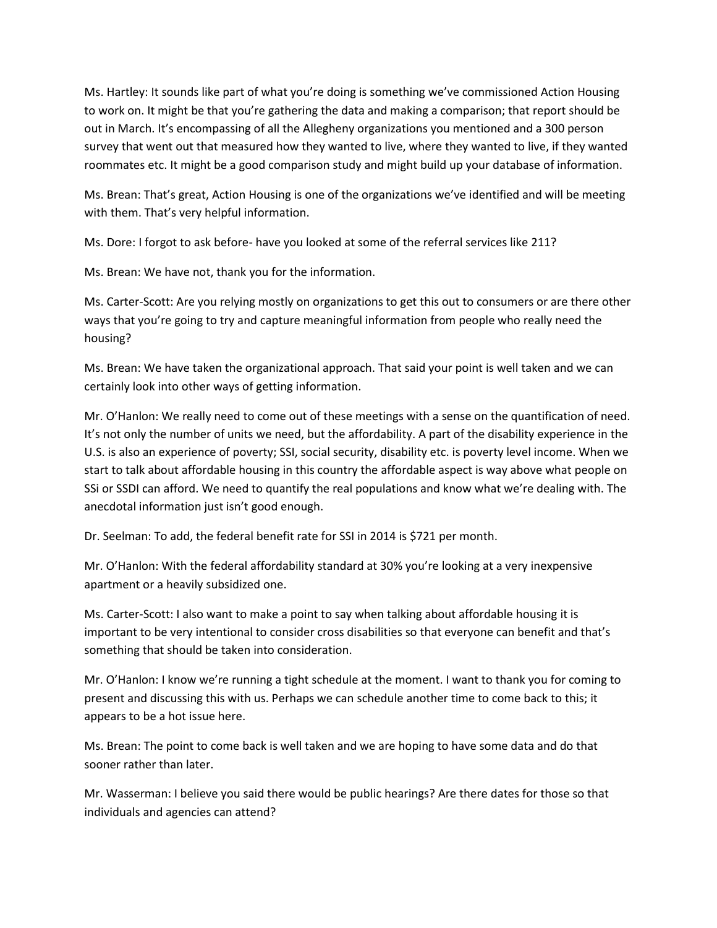Ms. Hartley: It sounds like part of what you're doing is something we've commissioned Action Housing to work on. It might be that you're gathering the data and making a comparison; that report should be out in March. It's encompassing of all the Allegheny organizations you mentioned and a 300 person survey that went out that measured how they wanted to live, where they wanted to live, if they wanted roommates etc. It might be a good comparison study and might build up your database of information.

Ms. Brean: That's great, Action Housing is one of the organizations we've identified and will be meeting with them. That's very helpful information.

Ms. Dore: I forgot to ask before- have you looked at some of the referral services like 211?

Ms. Brean: We have not, thank you for the information.

Ms. Carter-Scott: Are you relying mostly on organizations to get this out to consumers or are there other ways that you're going to try and capture meaningful information from people who really need the housing?

Ms. Brean: We have taken the organizational approach. That said your point is well taken and we can certainly look into other ways of getting information.

Mr. O'Hanlon: We really need to come out of these meetings with a sense on the quantification of need. It's not only the number of units we need, but the affordability. A part of the disability experience in the U.S. is also an experience of poverty; SSI, social security, disability etc. is poverty level income. When we start to talk about affordable housing in this country the affordable aspect is way above what people on SSi or SSDI can afford. We need to quantify the real populations and know what we're dealing with. The anecdotal information just isn't good enough.

Dr. Seelman: To add, the federal benefit rate for SSI in 2014 is \$721 per month.

Mr. O'Hanlon: With the federal affordability standard at 30% you're looking at a very inexpensive apartment or a heavily subsidized one.

Ms. Carter-Scott: I also want to make a point to say when talking about affordable housing it is important to be very intentional to consider cross disabilities so that everyone can benefit and that's something that should be taken into consideration.

Mr. O'Hanlon: I know we're running a tight schedule at the moment. I want to thank you for coming to present and discussing this with us. Perhaps we can schedule another time to come back to this; it appears to be a hot issue here.

Ms. Brean: The point to come back is well taken and we are hoping to have some data and do that sooner rather than later.

Mr. Wasserman: I believe you said there would be public hearings? Are there dates for those so that individuals and agencies can attend?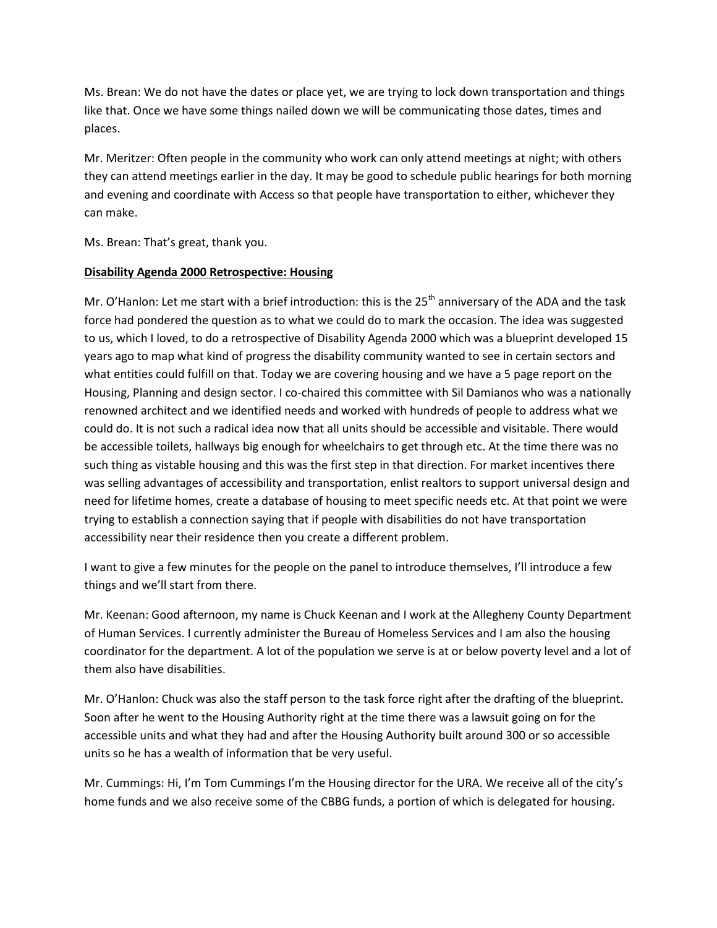Ms. Brean: We do not have the dates or place yet, we are trying to lock down transportation and things like that. Once we have some things nailed down we will be communicating those dates, times and places.

Mr. Meritzer: Often people in the community who work can only attend meetings at night; with others they can attend meetings earlier in the day. It may be good to schedule public hearings for both morning and evening and coordinate with Access so that people have transportation to either, whichever they can make.

Ms. Brean: That's great, thank you.

### **Disability Agenda 2000 Retrospective: Housing**

Mr. O'Hanlon: Let me start with a brief introduction: this is the  $25<sup>th</sup>$  anniversary of the ADA and the task force had pondered the question as to what we could do to mark the occasion. The idea was suggested to us, which I loved, to do a retrospective of Disability Agenda 2000 which was a blueprint developed 15 years ago to map what kind of progress the disability community wanted to see in certain sectors and what entities could fulfill on that. Today we are covering housing and we have a 5 page report on the Housing, Planning and design sector. I co-chaired this committee with Sil Damianos who was a nationally renowned architect and we identified needs and worked with hundreds of people to address what we could do. It is not such a radical idea now that all units should be accessible and visitable. There would be accessible toilets, hallways big enough for wheelchairs to get through etc. At the time there was no such thing as vistable housing and this was the first step in that direction. For market incentives there was selling advantages of accessibility and transportation, enlist realtors to support universal design and need for lifetime homes, create a database of housing to meet specific needs etc. At that point we were trying to establish a connection saying that if people with disabilities do not have transportation accessibility near their residence then you create a different problem.

I want to give a few minutes for the people on the panel to introduce themselves, I'll introduce a few things and we'll start from there.

Mr. Keenan: Good afternoon, my name is Chuck Keenan and I work at the Allegheny County Department of Human Services. I currently administer the Bureau of Homeless Services and I am also the housing coordinator for the department. A lot of the population we serve is at or below poverty level and a lot of them also have disabilities.

Mr. O'Hanlon: Chuck was also the staff person to the task force right after the drafting of the blueprint. Soon after he went to the Housing Authority right at the time there was a lawsuit going on for the accessible units and what they had and after the Housing Authority built around 300 or so accessible units so he has a wealth of information that be very useful.

Mr. Cummings: Hi, I'm Tom Cummings I'm the Housing director for the URA. We receive all of the city's home funds and we also receive some of the CBBG funds, a portion of which is delegated for housing.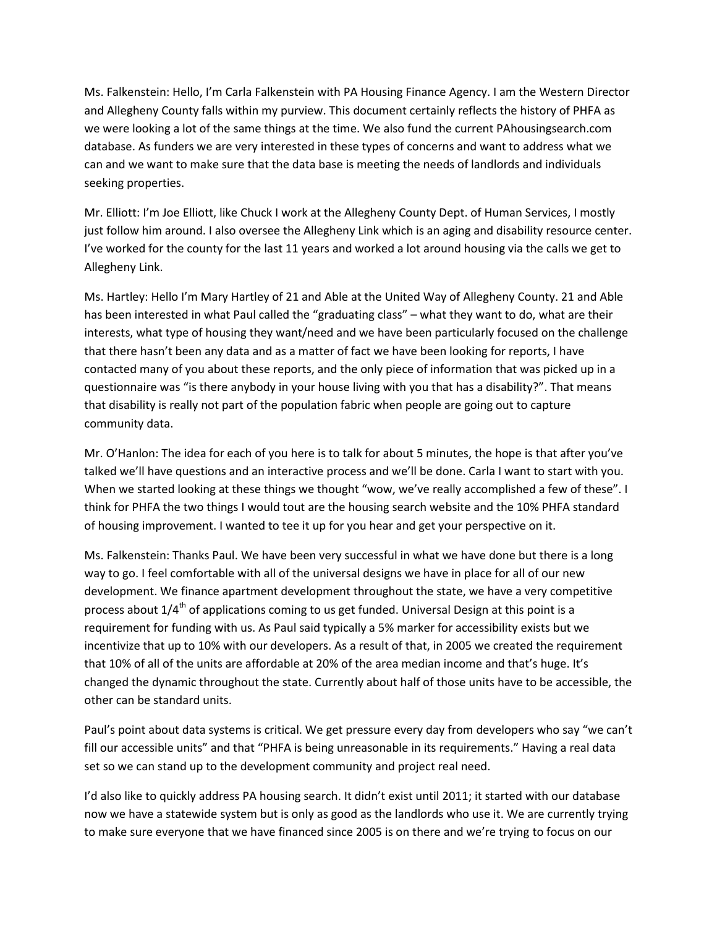Ms. Falkenstein: Hello, I'm Carla Falkenstein with PA Housing Finance Agency. I am the Western Director and Allegheny County falls within my purview. This document certainly reflects the history of PHFA as we were looking a lot of the same things at the time. We also fund the current PAhousingsearch.com database. As funders we are very interested in these types of concerns and want to address what we can and we want to make sure that the data base is meeting the needs of landlords and individuals seeking properties.

Mr. Elliott: I'm Joe Elliott, like Chuck I work at the Allegheny County Dept. of Human Services, I mostly just follow him around. I also oversee the Allegheny Link which is an aging and disability resource center. I've worked for the county for the last 11 years and worked a lot around housing via the calls we get to Allegheny Link.

Ms. Hartley: Hello I'm Mary Hartley of 21 and Able at the United Way of Allegheny County. 21 and Able has been interested in what Paul called the "graduating class" – what they want to do, what are their interests, what type of housing they want/need and we have been particularly focused on the challenge that there hasn't been any data and as a matter of fact we have been looking for reports, I have contacted many of you about these reports, and the only piece of information that was picked up in a questionnaire was "is there anybody in your house living with you that has a disability?". That means that disability is really not part of the population fabric when people are going out to capture community data.

Mr. O'Hanlon: The idea for each of you here is to talk for about 5 minutes, the hope is that after you've talked we'll have questions and an interactive process and we'll be done. Carla I want to start with you. When we started looking at these things we thought "wow, we've really accomplished a few of these". I think for PHFA the two things I would tout are the housing search website and the 10% PHFA standard of housing improvement. I wanted to tee it up for you hear and get your perspective on it.

Ms. Falkenstein: Thanks Paul. We have been very successful in what we have done but there is a long way to go. I feel comfortable with all of the universal designs we have in place for all of our new development. We finance apartment development throughout the state, we have a very competitive process about  $1/4<sup>th</sup>$  of applications coming to us get funded. Universal Design at this point is a requirement for funding with us. As Paul said typically a 5% marker for accessibility exists but we incentivize that up to 10% with our developers. As a result of that, in 2005 we created the requirement that 10% of all of the units are affordable at 20% of the area median income and that's huge. It's changed the dynamic throughout the state. Currently about half of those units have to be accessible, the other can be standard units.

Paul's point about data systems is critical. We get pressure every day from developers who say "we can't fill our accessible units" and that "PHFA is being unreasonable in its requirements." Having a real data set so we can stand up to the development community and project real need.

I'd also like to quickly address PA housing search. It didn't exist until 2011; it started with our database now we have a statewide system but is only as good as the landlords who use it. We are currently trying to make sure everyone that we have financed since 2005 is on there and we're trying to focus on our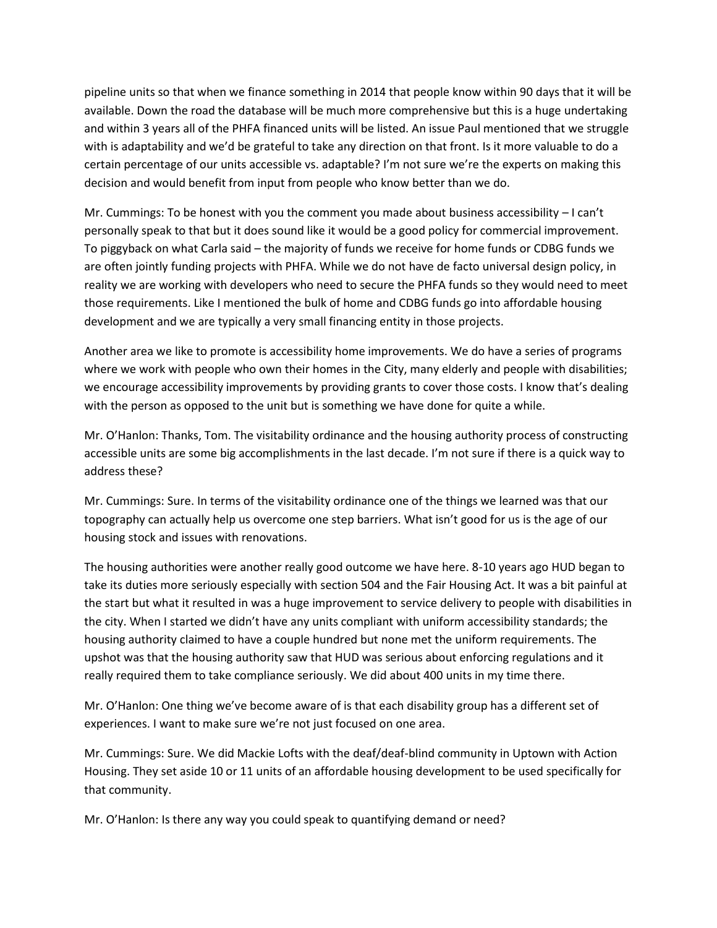pipeline units so that when we finance something in 2014 that people know within 90 days that it will be available. Down the road the database will be much more comprehensive but this is a huge undertaking and within 3 years all of the PHFA financed units will be listed. An issue Paul mentioned that we struggle with is adaptability and we'd be grateful to take any direction on that front. Is it more valuable to do a certain percentage of our units accessible vs. adaptable? I'm not sure we're the experts on making this decision and would benefit from input from people who know better than we do.

Mr. Cummings: To be honest with you the comment you made about business accessibility – I can't personally speak to that but it does sound like it would be a good policy for commercial improvement. To piggyback on what Carla said – the majority of funds we receive for home funds or CDBG funds we are often jointly funding projects with PHFA. While we do not have de facto universal design policy, in reality we are working with developers who need to secure the PHFA funds so they would need to meet those requirements. Like I mentioned the bulk of home and CDBG funds go into affordable housing development and we are typically a very small financing entity in those projects.

Another area we like to promote is accessibility home improvements. We do have a series of programs where we work with people who own their homes in the City, many elderly and people with disabilities; we encourage accessibility improvements by providing grants to cover those costs. I know that's dealing with the person as opposed to the unit but is something we have done for quite a while.

Mr. O'Hanlon: Thanks, Tom. The visitability ordinance and the housing authority process of constructing accessible units are some big accomplishments in the last decade. I'm not sure if there is a quick way to address these?

Mr. Cummings: Sure. In terms of the visitability ordinance one of the things we learned was that our topography can actually help us overcome one step barriers. What isn't good for us is the age of our housing stock and issues with renovations.

The housing authorities were another really good outcome we have here. 8-10 years ago HUD began to take its duties more seriously especially with section 504 and the Fair Housing Act. It was a bit painful at the start but what it resulted in was a huge improvement to service delivery to people with disabilities in the city. When I started we didn't have any units compliant with uniform accessibility standards; the housing authority claimed to have a couple hundred but none met the uniform requirements. The upshot was that the housing authority saw that HUD was serious about enforcing regulations and it really required them to take compliance seriously. We did about 400 units in my time there.

Mr. O'Hanlon: One thing we've become aware of is that each disability group has a different set of experiences. I want to make sure we're not just focused on one area.

Mr. Cummings: Sure. We did Mackie Lofts with the deaf/deaf-blind community in Uptown with Action Housing. They set aside 10 or 11 units of an affordable housing development to be used specifically for that community.

Mr. O'Hanlon: Is there any way you could speak to quantifying demand or need?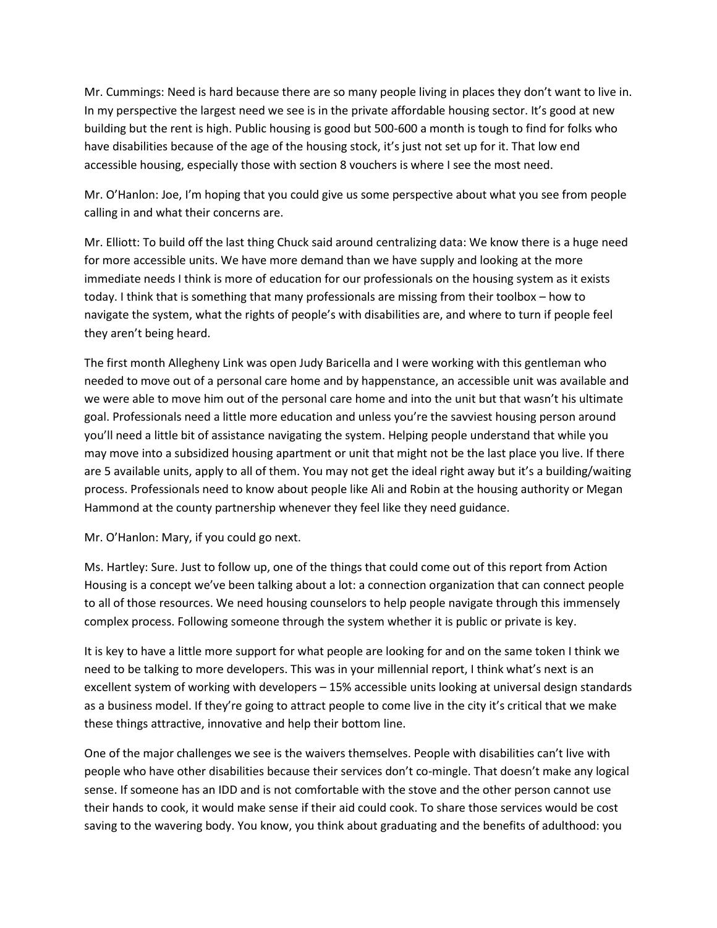Mr. Cummings: Need is hard because there are so many people living in places they don't want to live in. In my perspective the largest need we see is in the private affordable housing sector. It's good at new building but the rent is high. Public housing is good but 500-600 a month is tough to find for folks who have disabilities because of the age of the housing stock, it's just not set up for it. That low end accessible housing, especially those with section 8 vouchers is where I see the most need.

Mr. O'Hanlon: Joe, I'm hoping that you could give us some perspective about what you see from people calling in and what their concerns are.

Mr. Elliott: To build off the last thing Chuck said around centralizing data: We know there is a huge need for more accessible units. We have more demand than we have supply and looking at the more immediate needs I think is more of education for our professionals on the housing system as it exists today. I think that is something that many professionals are missing from their toolbox – how to navigate the system, what the rights of people's with disabilities are, and where to turn if people feel they aren't being heard.

The first month Allegheny Link was open Judy Baricella and I were working with this gentleman who needed to move out of a personal care home and by happenstance, an accessible unit was available and we were able to move him out of the personal care home and into the unit but that wasn't his ultimate goal. Professionals need a little more education and unless you're the savviest housing person around you'll need a little bit of assistance navigating the system. Helping people understand that while you may move into a subsidized housing apartment or unit that might not be the last place you live. If there are 5 available units, apply to all of them. You may not get the ideal right away but it's a building/waiting process. Professionals need to know about people like Ali and Robin at the housing authority or Megan Hammond at the county partnership whenever they feel like they need guidance.

Mr. O'Hanlon: Mary, if you could go next.

Ms. Hartley: Sure. Just to follow up, one of the things that could come out of this report from Action Housing is a concept we've been talking about a lot: a connection organization that can connect people to all of those resources. We need housing counselors to help people navigate through this immensely complex process. Following someone through the system whether it is public or private is key.

It is key to have a little more support for what people are looking for and on the same token I think we need to be talking to more developers. This was in your millennial report, I think what's next is an excellent system of working with developers – 15% accessible units looking at universal design standards as a business model. If they're going to attract people to come live in the city it's critical that we make these things attractive, innovative and help their bottom line.

One of the major challenges we see is the waivers themselves. People with disabilities can't live with people who have other disabilities because their services don't co-mingle. That doesn't make any logical sense. If someone has an IDD and is not comfortable with the stove and the other person cannot use their hands to cook, it would make sense if their aid could cook. To share those services would be cost saving to the wavering body. You know, you think about graduating and the benefits of adulthood: you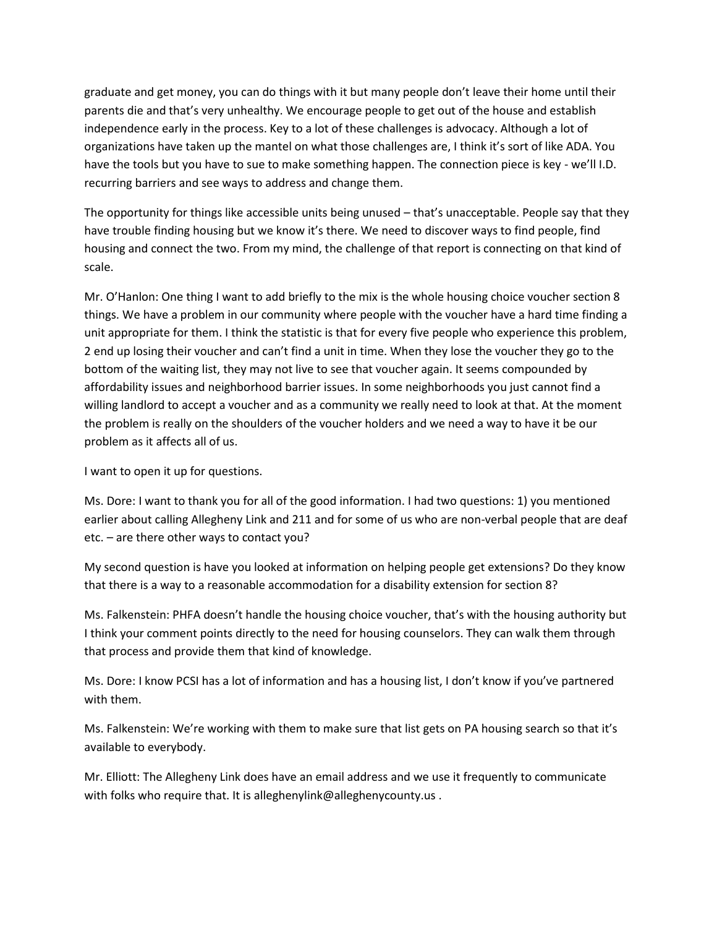graduate and get money, you can do things with it but many people don't leave their home until their parents die and that's very unhealthy. We encourage people to get out of the house and establish independence early in the process. Key to a lot of these challenges is advocacy. Although a lot of organizations have taken up the mantel on what those challenges are, I think it's sort of like ADA. You have the tools but you have to sue to make something happen. The connection piece is key - we'll I.D. recurring barriers and see ways to address and change them.

The opportunity for things like accessible units being unused – that's unacceptable. People say that they have trouble finding housing but we know it's there. We need to discover ways to find people, find housing and connect the two. From my mind, the challenge of that report is connecting on that kind of scale.

Mr. O'Hanlon: One thing I want to add briefly to the mix is the whole housing choice voucher section 8 things. We have a problem in our community where people with the voucher have a hard time finding a unit appropriate for them. I think the statistic is that for every five people who experience this problem, 2 end up losing their voucher and can't find a unit in time. When they lose the voucher they go to the bottom of the waiting list, they may not live to see that voucher again. It seems compounded by affordability issues and neighborhood barrier issues. In some neighborhoods you just cannot find a willing landlord to accept a voucher and as a community we really need to look at that. At the moment the problem is really on the shoulders of the voucher holders and we need a way to have it be our problem as it affects all of us.

I want to open it up for questions.

Ms. Dore: I want to thank you for all of the good information. I had two questions: 1) you mentioned earlier about calling Allegheny Link and 211 and for some of us who are non-verbal people that are deaf etc. – are there other ways to contact you?

My second question is have you looked at information on helping people get extensions? Do they know that there is a way to a reasonable accommodation for a disability extension for section 8?

Ms. Falkenstein: PHFA doesn't handle the housing choice voucher, that's with the housing authority but I think your comment points directly to the need for housing counselors. They can walk them through that process and provide them that kind of knowledge.

Ms. Dore: I know PCSI has a lot of information and has a housing list, I don't know if you've partnered with them.

Ms. Falkenstein: We're working with them to make sure that list gets on PA housing search so that it's available to everybody.

Mr. Elliott: The Allegheny Link does have an email address and we use it frequently to communicate with folks who require that. It is alleghenylink@alleghenycounty.us.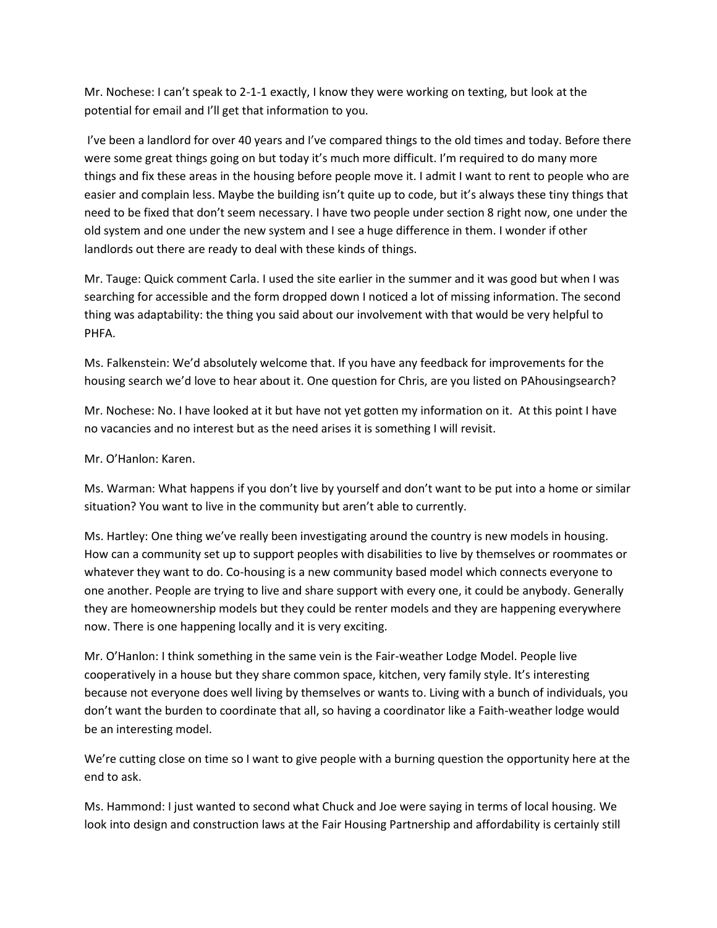Mr. Nochese: I can't speak to 2-1-1 exactly, I know they were working on texting, but look at the potential for email and I'll get that information to you.

I've been a landlord for over 40 years and I've compared things to the old times and today. Before there were some great things going on but today it's much more difficult. I'm required to do many more things and fix these areas in the housing before people move it. I admit I want to rent to people who are easier and complain less. Maybe the building isn't quite up to code, but it's always these tiny things that need to be fixed that don't seem necessary. I have two people under section 8 right now, one under the old system and one under the new system and I see a huge difference in them. I wonder if other landlords out there are ready to deal with these kinds of things.

Mr. Tauge: Quick comment Carla. I used the site earlier in the summer and it was good but when I was searching for accessible and the form dropped down I noticed a lot of missing information. The second thing was adaptability: the thing you said about our involvement with that would be very helpful to PHFA.

Ms. Falkenstein: We'd absolutely welcome that. If you have any feedback for improvements for the housing search we'd love to hear about it. One question for Chris, are you listed on PAhousingsearch?

Mr. Nochese: No. I have looked at it but have not yet gotten my information on it. At this point I have no vacancies and no interest but as the need arises it is something I will revisit.

Mr. O'Hanlon: Karen.

Ms. Warman: What happens if you don't live by yourself and don't want to be put into a home or similar situation? You want to live in the community but aren't able to currently.

Ms. Hartley: One thing we've really been investigating around the country is new models in housing. How can a community set up to support peoples with disabilities to live by themselves or roommates or whatever they want to do. Co-housing is a new community based model which connects everyone to one another. People are trying to live and share support with every one, it could be anybody. Generally they are homeownership models but they could be renter models and they are happening everywhere now. There is one happening locally and it is very exciting.

Mr. O'Hanlon: I think something in the same vein is the Fair-weather Lodge Model. People live cooperatively in a house but they share common space, kitchen, very family style. It's interesting because not everyone does well living by themselves or wants to. Living with a bunch of individuals, you don't want the burden to coordinate that all, so having a coordinator like a Faith-weather lodge would be an interesting model.

We're cutting close on time so I want to give people with a burning question the opportunity here at the end to ask.

Ms. Hammond: I just wanted to second what Chuck and Joe were saying in terms of local housing. We look into design and construction laws at the Fair Housing Partnership and affordability is certainly still